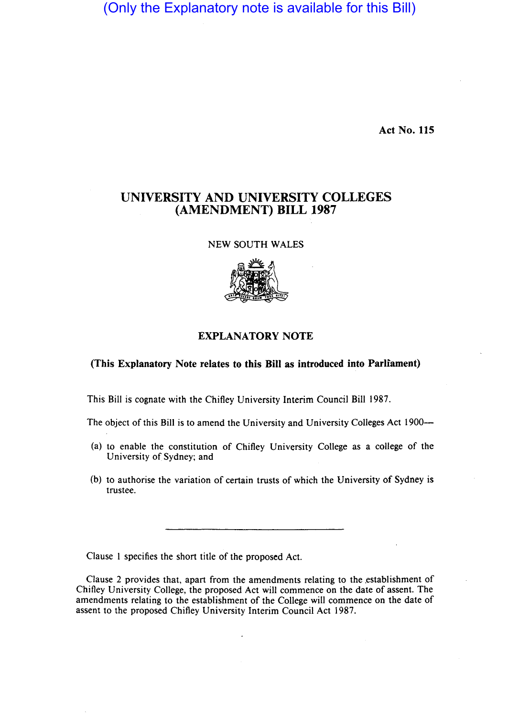(Only the Explanatory note is available for this Bill)

Act No. 115

## UNIVERSITY AND UNIVERSITY COLLEGES (AMENDMENT) BILL 1987

NEW SOUTH WALES



## EXPLANATORY NOTE

## (This Explanatory Note relates to this Bill as introduced into Parliament)

This Bill is cognate with the Chifley University Interim Council Bill 1987.

The object of this Bill is to amend the University and University Colleges Act 1900—

- (a) to enable the constitution of Chifley University College as a college of the University of Sydney; and
- (b) to authorise the variation of certain trusts of which the University of Sydney is trustee.

Clause I specifies the short title of the proposed Act.

Clause 2 provides that, apart from the amendments relating to the establishment of Chifley University College, the proposed Act will commence on the date of assent. The amendments relating to the establishment of the College will commence on the date of assent to the proposed Chifley University Interim Council Act 1987.